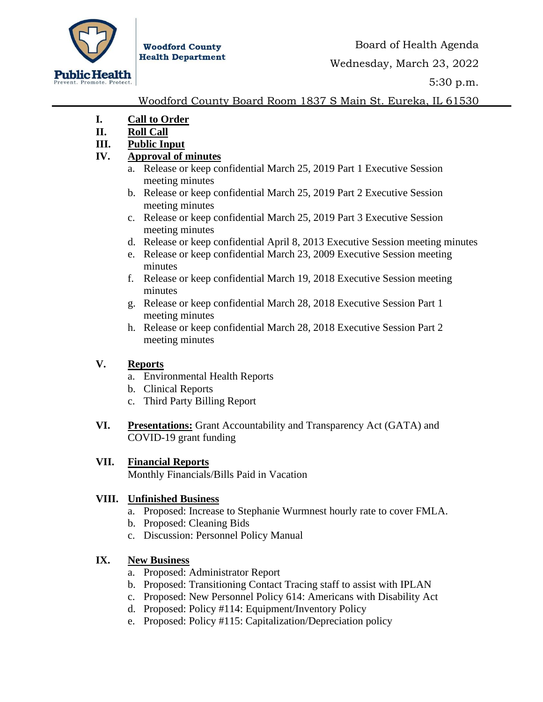

**Woodford County Health Department** 

Wednesday, March 23, 2022

5:30 p.m.

### Woodford County Board Room 1837 S Main St. Eureka, IL 61530

- **I. Call to Order**
- **II. Roll Call**
- **III. Public Input**

# **IV. Approval of minutes**

- a. Release or keep confidential March 25, 2019 Part 1 Executive Session meeting minutes
- b. Release or keep confidential March 25, 2019 Part 2 Executive Session meeting minutes
- c. Release or keep confidential March 25, 2019 Part 3 Executive Session meeting minutes
- d. Release or keep confidential April 8, 2013 Executive Session meeting minutes
- e. Release or keep confidential March 23, 2009 Executive Session meeting minutes
- f. Release or keep confidential March 19, 2018 Executive Session meeting minutes
- g. Release or keep confidential March 28, 2018 Executive Session Part 1 meeting minutes
- h. Release or keep confidential March 28, 2018 Executive Session Part 2 meeting minutes

# **V. Reports**

- a. Environmental Health Reports
- b. Clinical Reports
- c. Third Party Billing Report
- **VI. Presentations:** Grant Accountability and Transparency Act (GATA) and COVID-19 grant funding

## **VII. Financial Reports**

Monthly Financials/Bills Paid in Vacation

#### **VIII. Unfinished Business**

- a. Proposed: Increase to Stephanie Wurmnest hourly rate to cover FMLA.
- b. Proposed: Cleaning Bids
- c. Discussion: Personnel Policy Manual

## **IX. New Business**

- a. Proposed: Administrator Report
- b. Proposed: Transitioning Contact Tracing staff to assist with IPLAN
- c. Proposed: New Personnel Policy 614: Americans with Disability Act
- d. Proposed: Policy #114: Equipment/Inventory Policy
- e. Proposed: Policy #115: Capitalization/Depreciation policy